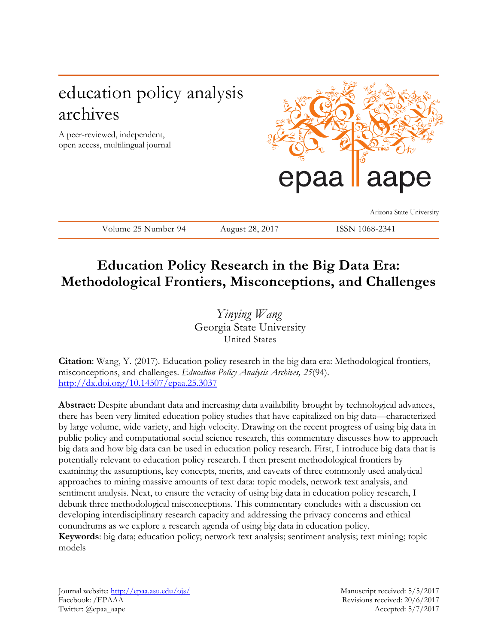# education policy analysis archives

A peer-reviewed, independent, open access, multilingual journal



Arizona State University

Volume 25 Number 94 August 28, 2017 ISSN 1068-2341

# **Education Policy Research in the Big Data Era: Methodological Frontiers, Misconceptions, and Challenges**

*Yinying Wang* Georgia State University United States

**Citation**: Wang, Y. (2017). Education policy research in the big data era: Methodological frontiers, misconceptions, and challenges. *Education Policy Analysis Archives, 25*(94). <http://dx.doi.org/10.14507/epaa.25.3037>

**Abstract:** Despite abundant data and increasing data availability brought by technological advances, there has been very limited education policy studies that have capitalized on big data—characterized by large volume, wide variety, and high velocity. Drawing on the recent progress of using big data in public policy and computational social science research, this commentary discusses how to approach big data and how big data can be used in education policy research. First, I introduce big data that is potentially relevant to education policy research. I then present methodological frontiers by examining the assumptions, key concepts, merits, and caveats of three commonly used analytical approaches to mining massive amounts of text data: topic models, network text analysis, and sentiment analysis. Next, to ensure the veracity of using big data in education policy research, I debunk three methodological misconceptions. This commentary concludes with a discussion on developing interdisciplinary research capacity and addressing the privacy concerns and ethical conundrums as we explore a research agenda of using big data in education policy. **Keywords**: big data; education policy; network text analysis; sentiment analysis; text mining; topic models

Journal website:<http://epaa.asu.edu/ojs/> Manuscript received: 5/5/2017 Facebook: /EPAAA Revisions received: 20/6/2017 Twitter: @epaa\_aape Accepted: 5/7/2017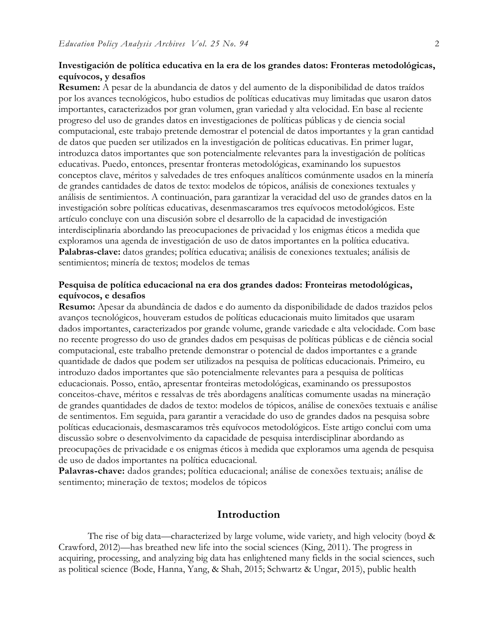#### **Investigación de política educativa en la era de los grandes datos: Fronteras metodológicas, equívocos, y desafíos**

**Resumen:** A pesar de la abundancia de datos y del aumento de la disponibilidad de datos traídos por los avances tecnológicos, hubo estudios de políticas educativas muy limitadas que usaron datos importantes, caracterizados por gran volumen, gran variedad y alta velocidad. En base al reciente progreso del uso de grandes datos en investigaciones de políticas públicas y de ciencia social computacional, este trabajo pretende demostrar el potencial de datos importantes y la gran cantidad de datos que pueden ser utilizados en la investigación de políticas educativas. En primer lugar, introduzca datos importantes que son potencialmente relevantes para la investigación de políticas educativas. Puedo, entonces, presentar fronteras metodológicas, examinando los supuestos conceptos clave, méritos y salvedades de tres enfoques analíticos comúnmente usados en la minería de grandes cantidades de datos de texto: modelos de tópicos, análisis de conexiones textuales y análisis de sentimientos. A continuación, para garantizar la veracidad del uso de grandes datos en la investigación sobre políticas educativas, desenmascaramos tres equívocos metodológicos. Este artículo concluye con una discusión sobre el desarrollo de la capacidad de investigación interdisciplinaria abordando las preocupaciones de privacidad y los enigmas éticos a medida que exploramos una agenda de investigación de uso de datos importantes en la política educativa. **Palabras-clave:** datos grandes; política educativa; análisis de conexiones textuales; análisis de sentimientos; minería de textos; modelos de temas

#### **Pesquisa de política educacional na era dos grandes dados: Fronteiras metodológicas, equívocos, e desafios**

**Resumo:** Apesar da abundância de dados e do aumento da disponibilidade de dados trazidos pelos avanços tecnológicos, houveram estudos de políticas educacionais muito limitados que usaram dados importantes, caracterizados por grande volume, grande variedade e alta velocidade. Com base no recente progresso do uso de grandes dados em pesquisas de políticas públicas e de ciência social computacional, este trabalho pretende demonstrar o potencial de dados importantes e a grande quantidade de dados que podem ser utilizados na pesquisa de políticas educacionais. Primeiro, eu introduzo dados importantes que são potencialmente relevantes para a pesquisa de políticas educacionais. Posso, então, apresentar fronteiras metodológicas, examinando os pressupostos conceitos-chave, méritos e ressalvas de três abordagens analíticas comumente usadas na mineração de grandes quantidades de dados de texto: modelos de tópicos, análise de conexões textuais e análise de sentimentos. Em seguida, para garantir a veracidade do uso de grandes dados na pesquisa sobre políticas educacionais, desmascaramos três equívocos metodológicos. Este artigo conclui com uma discussão sobre o desenvolvimento da capacidade de pesquisa interdisciplinar abordando as preocupações de privacidade e os enigmas éticos à medida que exploramos uma agenda de pesquisa de uso de dados importantes na política educacional.

**Palavras-chave:** dados grandes; política educacional; análise de conexões textuais; análise de sentimento; mineração de textos; modelos de tópicos

#### **Introduction**

The rise of big data—characterized by large volume, wide variety, and high velocity (boyd & Crawford, 2012)—has breathed new life into the social sciences (King, 2011). The progress in acquiring, processing, and analyzing big data has enlightened many fields in the social sciences, such as political science (Bode, Hanna, Yang, & Shah, 2015; Schwartz & Ungar, 2015), public health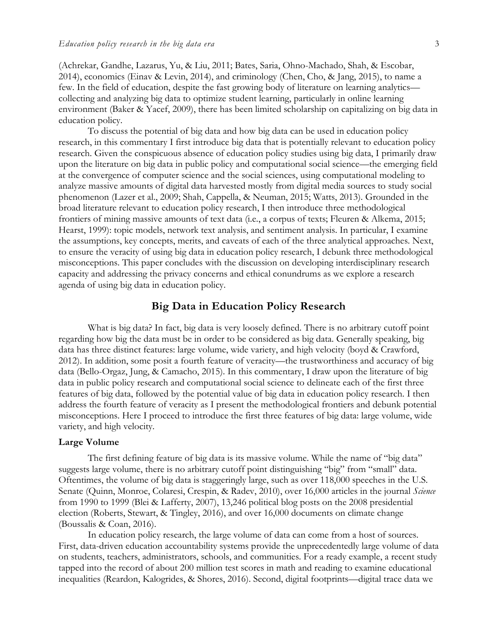(Achrekar, Gandhe, Lazarus, Yu, & Liu, 2011; Bates, Saria, Ohno-Machado, Shah, & Escobar, 2014), economics (Einav & Levin, 2014), and criminology (Chen, Cho, & Jang, 2015), to name a few. In the field of education, despite the fast growing body of literature on learning analytics collecting and analyzing big data to optimize student learning, particularly in online learning environment (Baker & Yacef, 2009), there has been limited scholarship on capitalizing on big data in education policy.

To discuss the potential of big data and how big data can be used in education policy research, in this commentary I first introduce big data that is potentially relevant to education policy research. Given the conspicuous absence of education policy studies using big data, I primarily draw upon the literature on big data in public policy and computational social science—the emerging field at the convergence of computer science and the social sciences, using computational modeling to analyze massive amounts of digital data harvested mostly from digital media sources to study social phenomenon (Lazer et al., 2009; Shah, Cappella, & Neuman, 2015; Watts, 2013). Grounded in the broad literature relevant to education policy research, I then introduce three methodological frontiers of mining massive amounts of text data (i.e., a corpus of texts; Fleuren & Alkema, 2015; Hearst, 1999): topic models, network text analysis, and sentiment analysis. In particular, I examine the assumptions, key concepts, merits, and caveats of each of the three analytical approaches. Next, to ensure the veracity of using big data in education policy research, I debunk three methodological misconceptions. This paper concludes with the discussion on developing interdisciplinary research capacity and addressing the privacy concerns and ethical conundrums as we explore a research agenda of using big data in education policy.

#### **Big Data in Education Policy Research**

What is big data? In fact, big data is very loosely defined. There is no arbitrary cutoff point regarding how big the data must be in order to be considered as big data. Generally speaking, big data has three distinct features: large volume, wide variety, and high velocity (boyd & Crawford, 2012). In addition, some posit a fourth feature of veracity—the trustworthiness and accuracy of big data (Bello-Orgaz, Jung, & Camacho, 2015). In this commentary, I draw upon the literature of big data in public policy research and computational social science to delineate each of the first three features of big data, followed by the potential value of big data in education policy research. I then address the fourth feature of veracity as I present the methodological frontiers and debunk potential misconceptions. Here I proceed to introduce the first three features of big data: large volume, wide variety, and high velocity.

#### **Large Volume**

The first defining feature of big data is its massive volume. While the name of "big data" suggests large volume, there is no arbitrary cutoff point distinguishing "big" from "small" data. Oftentimes, the volume of big data is staggeringly large, such as over 118,000 speeches in the U.S. Senate (Quinn, Monroe, Colaresi, Crespin, & Radev, 2010), over 16,000 articles in the journal *Science* from 1990 to 1999 (Blei & Lafferty, 2007), 13,246 political blog posts on the 2008 presidential election (Roberts, Stewart, & Tingley, 2016), and over 16,000 documents on climate change (Boussalis & Coan, 2016).

In education policy research, the large volume of data can come from a host of sources. First, data-driven education accountability systems provide the unprecedentedly large volume of data on students, teachers, administrators, schools, and communities. For a ready example, a recent study tapped into the record of about 200 million test scores in math and reading to examine educational inequalities (Reardon, Kalogrides, & Shores, 2016). Second, digital footprints—digital trace data we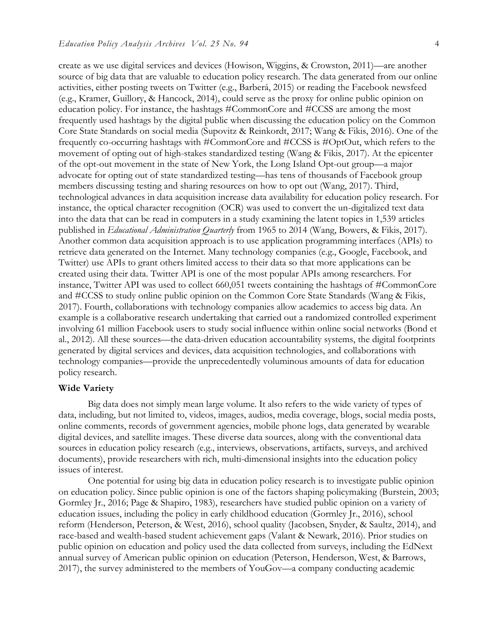create as we use digital services and devices (Howison, Wiggins, & Crowston, 2011)—are another source of big data that are valuable to education policy research. The data generated from our online activities, either posting tweets on Twitter (e.g., Barberá, 2015) or reading the Facebook newsfeed (e.g., Kramer, Guillory, & Hancock, 2014), could serve as the proxy for online public opinion on education policy. For instance, the hashtags #CommonCore and #CCSS are among the most frequently used hashtags by the digital public when discussing the education policy on the Common Core State Standards on social media (Supovitz & Reinkordt, 2017; Wang & Fikis, 2016). One of the frequently co-occurring hashtags with #CommonCore and #CCSS is #OptOut, which refers to the movement of opting out of high-stakes standardized testing (Wang & Fikis, 2017). At the epicenter of the opt-out movement in the state of New York, the Long Island Opt-out group—a major advocate for opting out of state standardized testing—has tens of thousands of Facebook group members discussing testing and sharing resources on how to opt out (Wang, 2017). Third, technological advances in data acquisition increase data availability for education policy research. For instance, the optical character recognition (OCR) was used to convert the un-digitalized text data into the data that can be read in computers in a study examining the latent topics in 1,539 articles published in *Educational Administration Quarterly* from 1965 to 2014 (Wang, Bowers, & Fikis, 2017). Another common data acquisition approach is to use application programming interfaces (APIs) to retrieve data generated on the Internet. Many technology companies (e.g., Google, Facebook, and Twitter) use APIs to grant others limited access to their data so that more applications can be created using their data. Twitter API is one of the most popular APIs among researchers. For instance, Twitter API was used to collect 660,051 tweets containing the hashtags of #CommonCore and #CCSS to study online public opinion on the Common Core State Standards (Wang & Fikis, 2017). Fourth, collaborations with technology companies allow academics to access big data. An example is a collaborative research undertaking that carried out a randomized controlled experiment involving 61 million Facebook users to study social influence within online social networks (Bond et al., 2012). All these sources—the data-driven education accountability systems, the digital footprints generated by digital services and devices, data acquisition technologies, and collaborations with technology companies—provide the unprecedentedly voluminous amounts of data for education policy research.

#### **Wide Variety**

Big data does not simply mean large volume. It also refers to the wide variety of types of data, including, but not limited to, videos, images, audios, media coverage, blogs, social media posts, online comments, records of government agencies, mobile phone logs, data generated by wearable digital devices, and satellite images. These diverse data sources, along with the conventional data sources in education policy research (e.g., interviews, observations, artifacts, surveys, and archived documents), provide researchers with rich, multi-dimensional insights into the education policy issues of interest.

One potential for using big data in education policy research is to investigate public opinion on education policy. Since public opinion is one of the factors shaping policymaking (Burstein, 2003; Gormley Jr., 2016; Page & Shapiro, 1983), researchers have studied public opinion on a variety of education issues, including the policy in early childhood education (Gormley Jr., 2016), school reform (Henderson, Peterson, & West, 2016), school quality (Jacobsen, Snyder, & Saultz, 2014), and race-based and wealth-based student achievement gaps (Valant & Newark, 2016). Prior studies on public opinion on education and policy used the data collected from surveys, including the EdNext annual survey of American public opinion on education (Peterson, Henderson, West, & Barrows, 2017), the survey administered to the members of YouGov—a company conducting academic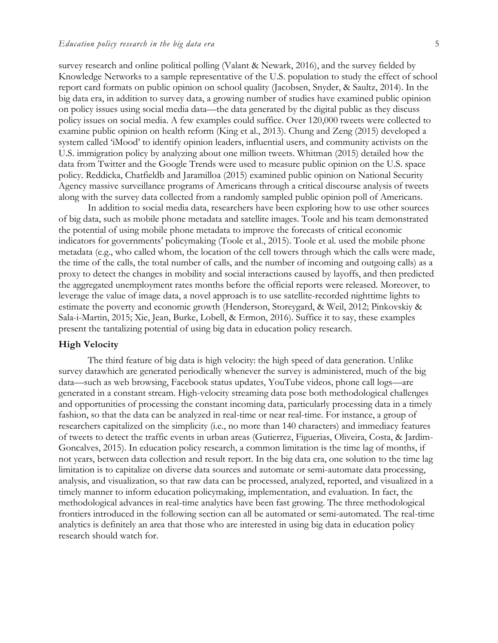survey research and online political polling (Valant & Newark, 2016), and the survey fielded by Knowledge Networks to a sample representative of the U.S. population to study the effect of school report card formats on public opinion on school quality (Jacobsen, Snyder, & Saultz, 2014). In the big data era, in addition to survey data, a growing number of studies have examined public opinion on policy issues using social media data—the data generated by the digital public as they discuss policy issues on social media. A few examples could suffice. Over 120,000 tweets were collected to examine public opinion on health reform (King et al., 2013). Chung and Zeng (2015) developed a system called 'iMood' to identify opinion leaders, influential users, and community activists on the U.S. immigration policy by analyzing about one million tweets. Whitman (2015) detailed how the data from Twitter and the Google Trends were used to measure public opinion on the U.S. space policy. Reddicka, Chatfieldb and Jaramilloa (2015) examined public opinion on National Security Agency massive surveillance programs of Americans through a critical discourse analysis of tweets along with the survey data collected from a randomly sampled public opinion poll of Americans.

In addition to social media data, researchers have been exploring how to use other sources of big data, such as mobile phone metadata and satellite images. Toole and his team demonstrated the potential of using mobile phone metadata to improve the forecasts of critical economic indicators for governments' policymaking (Toole et al., 2015). Toole et al. used the mobile phone metadata (e.g., who called whom, the location of the cell towers through which the calls were made, the time of the calls, the total number of calls, and the number of incoming and outgoing calls) as a proxy to detect the changes in mobility and social interactions caused by layoffs, and then predicted the aggregated unemployment rates months before the official reports were released. Moreover, to leverage the value of image data, a novel approach is to use satellite-recorded nighttime lights to estimate the poverty and economic growth (Henderson, Storeygard, & Weil, 2012; Pinkovskiy & Sala-i-Martin, 2015; Xie, Jean, Burke, Lobell, & Ermon, 2016). Suffice it to say, these examples present the tantalizing potential of using big data in education policy research.

#### **High Velocity**

The third feature of big data is high velocity: the high speed of data generation. Unlike survey datawhich are generated periodically whenever the survey is administered, much of the big data—such as web browsing, Facebook status updates, YouTube videos, phone call logs—are generated in a constant stream. High-velocity streaming data pose both methodological challenges and opportunities of processing the constant incoming data, particularly processing data in a timely fashion, so that the data can be analyzed in real-time or near real-time. For instance, a group of researchers capitalized on the simplicity (i.e., no more than 140 characters) and immediacy features of tweets to detect the traffic events in urban areas (Gutierrez, Figuerias, Oliveira, Costa, & Jardim-Goncalves, 2015). In education policy research, a common limitation is the time lag of months, if not years, between data collection and result report. In the big data era, one solution to the time lag limitation is to capitalize on diverse data sources and automate or semi-automate data processing, analysis, and visualization, so that raw data can be processed, analyzed, reported, and visualized in a timely manner to inform education policymaking, implementation, and evaluation. In fact, the methodological advances in real-time analytics have been fast growing. The three methodological frontiers introduced in the following section can all be automated or semi-automated. The real-time analytics is definitely an area that those who are interested in using big data in education policy research should watch for.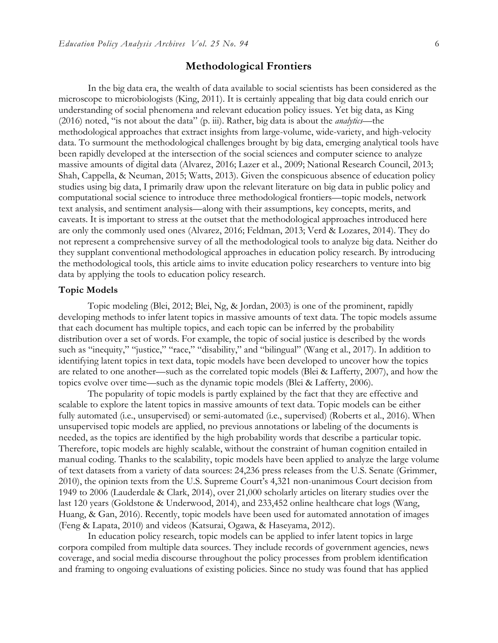### **Methodological Frontiers**

In the big data era, the wealth of data available to social scientists has been considered as the microscope to microbiologists (King, 2011). It is certainly appealing that big data could enrich our understanding of social phenomena and relevant education policy issues. Yet big data, as King (2016) noted, "is not about the data" (p. iii). Rather, big data is about the *analytics*—the methodological approaches that extract insights from large-volume, wide-variety, and high-velocity data. To surmount the methodological challenges brought by big data, emerging analytical tools have been rapidly developed at the intersection of the social sciences and computer science to analyze massive amounts of digital data (Alvarez, 2016; Lazer et al., 2009; National Research Council, 2013; Shah, Cappella, & Neuman, 2015; Watts, 2013). Given the conspicuous absence of education policy studies using big data, I primarily draw upon the relevant literature on big data in public policy and computational social science to introduce three methodological frontiers—topic models, network text analysis, and sentiment analysis—along with their assumptions, key concepts, merits, and caveats. It is important to stress at the outset that the methodological approaches introduced here are only the commonly used ones (Alvarez, 2016; Feldman, 2013; Verd & Lozares, 2014). They do not represent a comprehensive survey of all the methodological tools to analyze big data. Neither do they supplant conventional methodological approaches in education policy research. By introducing the methodological tools, this article aims to invite education policy researchers to venture into big data by applying the tools to education policy research.

#### **Topic Models**

Topic modeling (Blei, 2012; Blei, Ng, & Jordan, 2003) is one of the prominent, rapidly developing methods to infer latent topics in massive amounts of text data. The topic models assume that each document has multiple topics, and each topic can be inferred by the probability distribution over a set of words. For example, the topic of social justice is described by the words such as "inequity," "justice," "race," "disability," and "bilingual" (Wang et al., 2017). In addition to identifying latent topics in text data, topic models have been developed to uncover how the topics are related to one another—such as the correlated topic models (Blei & Lafferty, 2007), and how the topics evolve over time—such as the dynamic topic models (Blei & Lafferty, 2006).

The popularity of topic models is partly explained by the fact that they are effective and scalable to explore the latent topics in massive amounts of text data. Topic models can be either fully automated (i.e., unsupervised) or semi-automated (i.e., supervised) (Roberts et al., 2016). When unsupervised topic models are applied, no previous annotations or labeling of the documents is needed, as the topics are identified by the high probability words that describe a particular topic. Therefore, topic models are highly scalable, without the constraint of human cognition entailed in manual coding. Thanks to the scalability, topic models have been applied to analyze the large volume of text datasets from a variety of data sources: 24,236 press releases from the U.S. Senate (Grimmer, 2010), the opinion texts from the U.S. Supreme Court's 4,321 non-unanimous Court decision from 1949 to 2006 (Lauderdale & Clark, 2014), over 21,000 scholarly articles on literary studies over the last 120 years (Goldstone & Underwood, 2014), and 233,452 online healthcare chat logs (Wang, Huang, & Gan, 2016). Recently, topic models have been used for automated annotation of images (Feng & Lapata, 2010) and videos (Katsurai, Ogawa, & Haseyama, 2012).

In education policy research, topic models can be applied to infer latent topics in large corpora compiled from multiple data sources. They include records of government agencies, news coverage, and social media discourse throughout the policy processes from problem identification and framing to ongoing evaluations of existing policies. Since no study was found that has applied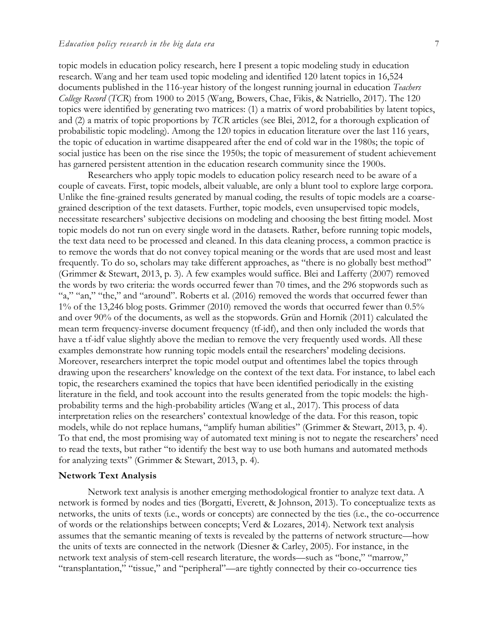topic models in education policy research, here I present a topic modeling study in education research. Wang and her team used topic modeling and identified 120 latent topics in 16,524 documents published in the 116-year history of the longest running journal in education *Teachers College Record* (*TCR*) from 1900 to 2015 (Wang, Bowers, Chae, Fikis, & Natriello, 2017). The 120 topics were identified by generating two matrices: (1) a matrix of word probabilities by latent topics, and (2) a matrix of topic proportions by *TCR* articles (see Blei, 2012, for a thorough explication of probabilistic topic modeling). Among the 120 topics in education literature over the last 116 years, the topic of education in wartime disappeared after the end of cold war in the 1980s; the topic of social justice has been on the rise since the 1950s; the topic of measurement of student achievement has garnered persistent attention in the education research community since the 1900s.

Researchers who apply topic models to education policy research need to be aware of a couple of caveats. First, topic models, albeit valuable, are only a blunt tool to explore large corpora. Unlike the fine-grained results generated by manual coding, the results of topic models are a coarsegrained description of the text datasets. Further, topic models, even unsupervised topic models, necessitate researchers' subjective decisions on modeling and choosing the best fitting model. Most topic models do not run on every single word in the datasets. Rather, before running topic models, the text data need to be processed and cleaned. In this data cleaning process, a common practice is to remove the words that do not convey topical meaning or the words that are used most and least frequently. To do so, scholars may take different approaches, as "there is no globally best method" (Grimmer & Stewart, 2013, p. 3). A few examples would suffice. Blei and Lafferty (2007) removed the words by two criteria: the words occurred fewer than 70 times, and the 296 stopwords such as "a," "an," "the," and "around". Roberts et al. (2016) removed the words that occurred fewer than 1% of the 13,246 blog posts. Grimmer (2010) removed the words that occurred fewer than 0.5% and over 90% of the documents, as well as the stopwords. Grün and Hornik (2011) calculated the mean term frequency-inverse document frequency (tf-idf), and then only included the words that have a tf-idf value slightly above the median to remove the very frequently used words. All these examples demonstrate how running topic models entail the researchers' modeling decisions. Moreover, researchers interpret the topic model output and oftentimes label the topics through drawing upon the researchers' knowledge on the context of the text data. For instance, to label each topic, the researchers examined the topics that have been identified periodically in the existing literature in the field, and took account into the results generated from the topic models: the highprobability terms and the high-probability articles (Wang et al., 2017). This process of data interpretation relies on the researchers' contextual knowledge of the data. For this reason, topic models, while do not replace humans, "amplify human abilities" (Grimmer & Stewart, 2013, p. 4). To that end, the most promising way of automated text mining is not to negate the researchers' need to read the texts, but rather "to identify the best way to use both humans and automated methods for analyzing texts" (Grimmer & Stewart, 2013, p. 4).

#### **Network Text Analysis**

Network text analysis is another emerging methodological frontier to analyze text data. A network is formed by nodes and ties (Borgatti, Everett, & Johnson, 2013). To conceptualize texts as networks, the units of texts (i.e., words or concepts) are connected by the ties (i.e., the co-occurrence of words or the relationships between concepts; Verd & Lozares, 2014). Network text analysis assumes that the semantic meaning of texts is revealed by the patterns of network structure—how the units of texts are connected in the network (Diesner & Carley, 2005). For instance, in the network text analysis of stem-cell research literature, the words—such as "bone," "marrow," "transplantation," "tissue," and "peripheral"—are tightly connected by their co-occurrence ties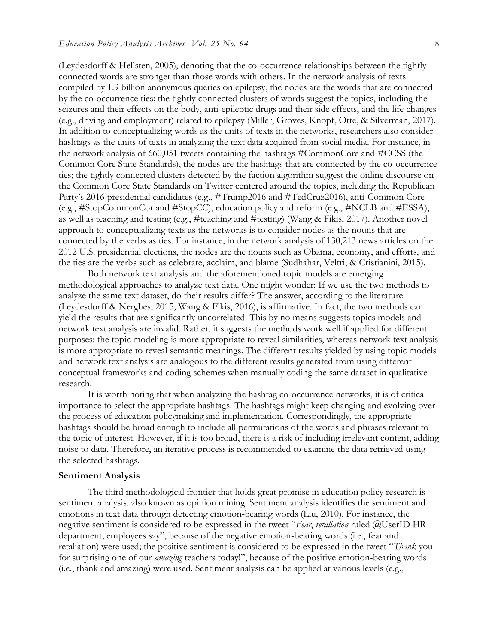(Leydesdorff & Hellsten, 2005), denoting that the co-occurrence relationships between the tightly connected words are stronger than those words with others. In the network analysis of texts compiled by 1.9 billion anonymous queries on epilepsy, the nodes are the words that are connected by the co-occurrence ties; the tightly connected clusters of words suggest the topics, including the seizures and their effects on the body, anti-epileptic drugs and their side effects, and the life changes (e.g., driving and employment) related to epilepsy (Miller, Groves, Knopf, Otte, & Silverman, 2017). In addition to conceptualizing words as the units of texts in the networks, researchers also consider hashtags as the units of texts in analyzing the text data acquired from social media. For instance, in the network analysis of 660,051 tweets containing the hashtags #CommonCore and #CCSS (the Common Core State Standards), the nodes are the hashtags that are connected by the co-occurrence ties; the tightly connected clusters detected by the faction algorithm suggest the online discourse on the Common Core State Standards on Twitter centered around the topics, including the Republican Party's 2016 presidential candidates (e.g., #Trump2016 and #TedCruz2016), anti-Common Core (e.g., #StopCommonCor and #StopCC), education policy and reform (e.g., #NCLB and #ESSA), as well as teaching and testing (e.g., #teaching and #testing) (Wang & Fikis, 2017). Another novel approach to conceptualizing texts as the networks is to consider nodes as the nouns that are connected by the verbs as ties. For instance, in the network analysis of 130,213 news articles on the 2012 U.S. presidential elections, the nodes are the nouns such as Obama, economy, and efforts, and the ties are the verbs such as celebrate, acclaim, and blame (Sudhahar, Veltri, & Cristianini, 2015).

Both network text analysis and the aforementioned topic models are emerging methodological approaches to analyze text data. One might wonder: If we use the two methods to analyze the same text dataset, do their results differ? The answer, according to the literature (Leydesdorff & Nerghes, 2015; Wang & Fikis, 2016), is affirmative. In fact, the two methods can yield the results that are significantly uncorrelated. This by no means suggests topics models and network text analysis are invalid. Rather, it suggests the methods work well if applied for different purposes: the topic modeling is more appropriate to reveal similarities, whereas network text analysis is more appropriate to reveal semantic meanings. The different results yielded by using topic models and network text analysis are analogous to the different results generated from using different conceptual frameworks and coding schemes when manually coding the same dataset in qualitative research.

It is worth noting that when analyzing the hashtag co-occurrence networks, it is of critical importance to select the appropriate hashtags. The hashtags might keep changing and evolving over the process of education policymaking and implementation. Correspondingly, the appropriate hashtags should be broad enough to include all permutations of the words and phrases relevant to the topic of interest. However, if it is too broad, there is a risk of including irrelevant content, adding noise to data. Therefore, an iterative process is recommended to examine the data retrieved using the selected hashtags.

#### **Sentiment Analysis**

The third methodological frontier that holds great promise in education policy research is sentiment analysis, also known as opinion mining. Sentiment analysis identifies the sentiment and emotions in text data through detecting emotion-bearing words (Liu, 2010). For instance, the negative sentiment is considered to be expressed in the tweet "*Fear*, *retaliation* ruled @UserID HR department, employees say", because of the negative emotion-bearing words (i.e., fear and retaliation) were used; the positive sentiment is considered to be expressed in the tweet "*Thank* you for surprising one of our *amazing* teachers today!", because of the positive emotion-bearing words (i.e., thank and amazing) were used. Sentiment analysis can be applied at various levels (e.g.,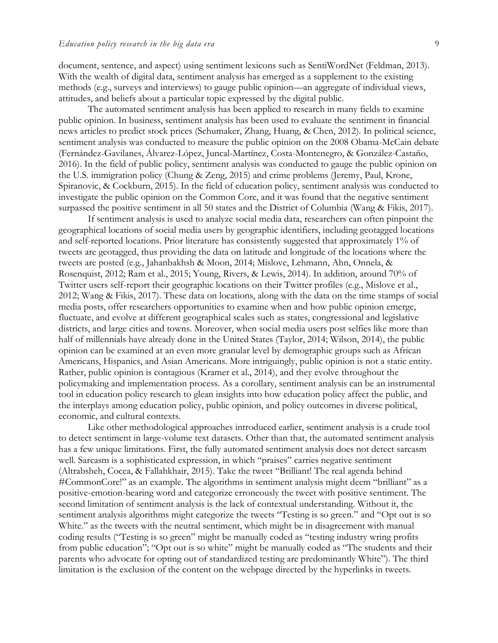document, sentence, and aspect) using sentiment lexicons such as SentiWordNet (Feldman, 2013). With the wealth of digital data, sentiment analysis has emerged as a supplement to the existing methods (e.g., surveys and interviews) to gauge public opinion—an aggregate of individual views, attitudes, and beliefs about a particular topic expressed by the digital public.

The automated sentiment analysis has been applied to research in many fields to examine public opinion. In business, sentiment analysis has been used to evaluate the sentiment in financial news articles to predict stock prices (Schumaker, Zhang, Huang, & Chen, 2012). In political science, sentiment analysis was conducted to measure the public opinion on the 2008 Obama-McCain debate (Fernández-Gavilanes, Álvarez-López, Juncal-Martínez, Costa-Montenegro, & González-Castaño, 2016). In the field of public policy, sentiment analysis was conducted to gauge the public opinion on the U.S. immigration policy (Chung & Zeng, 2015) and crime problems (Jeremy, Paul, Krone, Spiranovic, & Cockburn, 2015). In the field of education policy, sentiment analysis was conducted to investigate the public opinion on the Common Core, and it was found that the negative sentiment surpassed the positive sentiment in all 50 states and the District of Columbia (Wang & Fikis, 2017).

If sentiment analysis is used to analyze social media data, researchers can often pinpoint the geographical locations of social media users by geographic identifiers, including geotagged locations and self-reported locations. Prior literature has consistently suggested that approximately 1% of tweets are geotagged, thus providing the data on latitude and longitude of the locations where the tweets are posted (e.g., Jahanbakhsh & Moon, 2014; Mislove, Lehmann, Ahn, Onnela, & Rosenquist, 2012; Ram et al., 2015; Young, Rivers, & Lewis, 2014). In addition, around 70% of Twitter users self-report their geographic locations on their Twitter profiles (e.g., Mislove et al., 2012; Wang & Fikis, 2017). These data on locations, along with the data on the time stamps of social media posts, offer researchers opportunities to examine when and how public opinion emerge, fluctuate, and evolve at different geographical scales such as states, congressional and legislative districts, and large cities and towns. Moreover, when social media users post selfies like more than half of millennials have already done in the United States (Taylor, 2014; Wilson, 2014), the public opinion can be examined at an even more granular level by demographic groups such as African Americans, Hispanics, and Asian Americans. More intriguingly, public opinion is not a static entity. Rather, public opinion is contagious (Kramer et al., 2014), and they evolve throughout the policymaking and implementation process. As a corollary, sentiment analysis can be an instrumental tool in education policy research to glean insights into how education policy affect the public, and the interplays among education policy, public opinion, and policy outcomes in diverse political, economic, and cultural contexts.

Like other methodological approaches introduced earlier, sentiment analysis is a crude tool to detect sentiment in large-volume text datasets. Other than that, the automated sentiment analysis has a few unique limitations. First, the fully automated sentiment analysis does not detect sarcasm well. Sarcasm is a sophisticated expression, in which "praises" carries negative sentiment (Altrabsheh, Cocea, & Fallahkhair, 2015). Take the tweet "Brilliant! The real agenda behind #CommonCore!" as an example. The algorithms in sentiment analysis might deem "brilliant" as a positive-emotion-bearing word and categorize erroneously the tweet with positive sentiment. The second limitation of sentiment analysis is the lack of contextual understanding. Without it, the sentiment analysis algorithms might categorize the tweets "Testing is so green." and "Opt out is so White." as the tweets with the neutral sentiment, which might be in disagreement with manual coding results ("Testing is so green" might be manually coded as "testing industry wring profits from public education"; "Opt out is so white" might be manually coded as "The students and their parents who advocate for opting out of standardized testing are predominantly White"). The third limitation is the exclusion of the content on the webpage directed by the hyperlinks in tweets.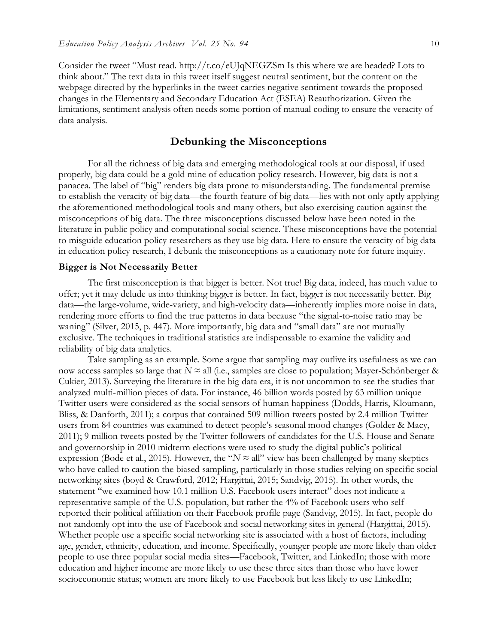Consider the tweet "Must read. http://t.co/eUJqNEGZSm Is this where we are headed? Lots to think about." The text data in this tweet itself suggest neutral sentiment, but the content on the webpage directed by the hyperlinks in the tweet carries negative sentiment towards the proposed changes in the Elementary and Secondary Education Act (ESEA) Reauthorization. Given the limitations, sentiment analysis often needs some portion of manual coding to ensure the veracity of data analysis.

#### **Debunking the Misconceptions**

For all the richness of big data and emerging methodological tools at our disposal, if used properly, big data could be a gold mine of education policy research. However, big data is not a panacea. The label of "big" renders big data prone to misunderstanding. The fundamental premise to establish the veracity of big data—the fourth feature of big data—lies with not only aptly applying the aforementioned methodological tools and many others, but also exercising caution against the misconceptions of big data. The three misconceptions discussed below have been noted in the literature in public policy and computational social science. These misconceptions have the potential to misguide education policy researchers as they use big data. Here to ensure the veracity of big data in education policy research, I debunk the misconceptions as a cautionary note for future inquiry.

#### **Bigger is Not Necessarily Better**

The first misconception is that bigger is better. Not true! Big data, indeed, has much value to offer; yet it may delude us into thinking bigger is better. In fact, bigger is not necessarily better. Big data—the large-volume, wide-variety, and high-velocity data—inherently implies more noise in data, rendering more efforts to find the true patterns in data because "the signal-to-noise ratio may be waning" (Silver, 2015, p. 447). More importantly, big data and "small data" are not mutually exclusive. The techniques in traditional statistics are indispensable to examine the validity and reliability of big data analytics.

Take sampling as an example. Some argue that sampling may outlive its usefulness as we can now access samples so large that  $N \approx$  all (i.e., samples are close to population; Mayer-Schönberger & Cukier, 2013). Surveying the literature in the big data era, it is not uncommon to see the studies that analyzed multi-million pieces of data. For instance, 46 billion words posted by 63 million unique Twitter users were considered as the social sensors of human happiness (Dodds, Harris, Kloumann, Bliss, & Danforth, 2011); a corpus that contained 509 million tweets posted by 2.4 million Twitter users from 84 countries was examined to detect people's seasonal mood changes (Golder & Macy, 2011); 9 million tweets posted by the Twitter followers of candidates for the U.S. House and Senate and governorship in 2010 midterm elections were used to study the digital public's political expression (Bode et al., 2015). However, the " $N \approx$  all" view has been challenged by many skeptics who have called to caution the biased sampling, particularly in those studies relying on specific social networking sites (boyd & Crawford, 2012; Hargittai, 2015; Sandvig, 2015). In other words, the statement "we examined how 10.1 million U.S. Facebook users interact" does not indicate a representative sample of the U.S. population, but rather the 4% of Facebook users who selfreported their political affiliation on their Facebook profile page (Sandvig, 2015). In fact, people do not randomly opt into the use of Facebook and social networking sites in general (Hargittai, 2015). Whether people use a specific social networking site is associated with a host of factors, including age, gender, ethnicity, education, and income. Specifically, younger people are more likely than older people to use three popular social media sites—Facebook, Twitter, and LinkedIn; those with more education and higher income are more likely to use these three sites than those who have lower socioeconomic status; women are more likely to use Facebook but less likely to use LinkedIn;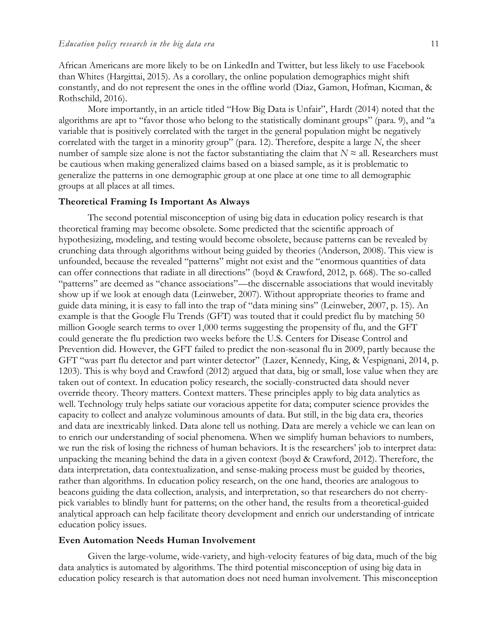African Americans are more likely to be on LinkedIn and Twitter, but less likely to use Facebook than Whites (Hargittai, 2015). As a corollary, the online population demographics might shift constantly, and do not represent the ones in the offline world (Diaz, Gamon, Hofman, Kıcıman, & Rothschild, 2016).

More importantly, in an article titled "How Big Data is Unfair", Hardt (2014) noted that the algorithms are apt to "favor those who belong to the statistically dominant groups" (para. 9), and "a variable that is positively correlated with the target in the general population might be negatively correlated with the target in a minority group" (para. 12). Therefore, despite a large *N*, the sheer number of sample size alone is not the factor substantiating the claim that  $N \approx$  all. Researchers must be cautious when making generalized claims based on a biased sample, as it is problematic to generalize the patterns in one demographic group at one place at one time to all demographic groups at all places at all times.

#### **Theoretical Framing Is Important As Always**

The second potential misconception of using big data in education policy research is that theoretical framing may become obsolete. Some predicted that the scientific approach of hypothesizing, modeling, and testing would become obsolete, because patterns can be revealed by crunching data through algorithms without being guided by theories (Anderson, 2008). This view is unfounded, because the revealed "patterns" might not exist and the "enormous quantities of data can offer connections that radiate in all directions" (boyd & Crawford, 2012, p. 668). The so-called "patterns" are deemed as "chance associations"—the discernable associations that would inevitably show up if we look at enough data (Leinweber, 2007). Without appropriate theories to frame and guide data mining, it is easy to fall into the trap of "data mining sins" (Leinweber, 2007, p. 15). An example is that the Google Flu Trends (GFT) was touted that it could predict flu by matching 50 million Google search terms to over 1,000 terms suggesting the propensity of flu, and the GFT could generate the flu prediction two weeks before the U.S. Centers for Disease Control and Prevention did. However, the GFT failed to predict the non-seasonal flu in 2009, partly because the GFT "was part flu detector and part winter detector" (Lazer, Kennedy, King, & Vespignani, 2014, p. 1203). This is why boyd and Crawford (2012) argued that data, big or small, lose value when they are taken out of context. In education policy research, the socially-constructed data should never override theory. Theory matters. Context matters. These principles apply to big data analytics as well. Technology truly helps satiate our voracious appetite for data; computer science provides the capacity to collect and analyze voluminous amounts of data. But still, in the big data era, theories and data are inextricably linked. Data alone tell us nothing. Data are merely a vehicle we can lean on to enrich our understanding of social phenomena. When we simplify human behaviors to numbers, we run the risk of losing the richness of human behaviors. It is the researchers' job to interpret data: unpacking the meaning behind the data in a given context (boyd & Crawford, 2012). Therefore, the data interpretation, data contextualization, and sense-making process must be guided by theories, rather than algorithms. In education policy research, on the one hand, theories are analogous to beacons guiding the data collection, analysis, and interpretation, so that researchers do not cherrypick variables to blindly hunt for patterns; on the other hand, the results from a theoretical-guided analytical approach can help facilitate theory development and enrich our understanding of intricate education policy issues.

#### **Even Automation Needs Human Involvement**

Given the large-volume, wide-variety, and high-velocity features of big data, much of the big data analytics is automated by algorithms. The third potential misconception of using big data in education policy research is that automation does not need human involvement. This misconception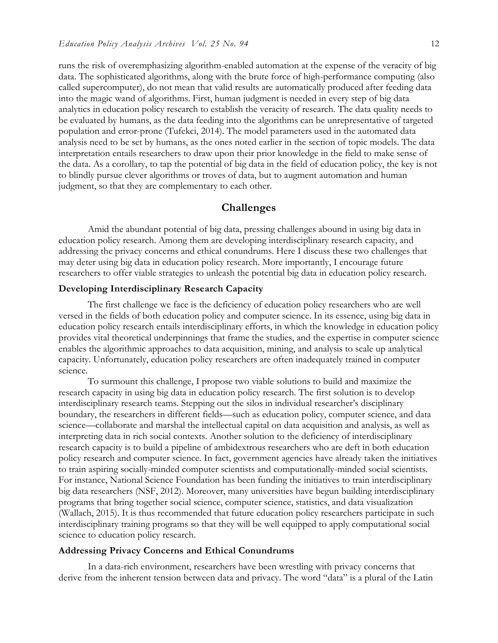runs the risk of overemphasizing algorithm-enabled automation at the expense of the veracity of big data. The sophisticated algorithms, along with the brute force of high-performance computing (also called supercomputer), do not mean that valid results are automatically produced after feeding data into the magic wand of algorithms. First, human judgment is needed in every step of big data analytics in education policy research to establish the veracity of research. The data quality needs to be evaluated by humans, as the data feeding into the algorithms can be unrepresentative of targeted population and error-prone (Tufekci, 2014). The model parameters used in the automated data analysis need to be set by humans, as the ones noted earlier in the section of topic models. The data interpretation entails researchers to draw upon their prior knowledge in the field to make sense of the data. As a corollary, to tap the potential of big data in the field of education policy, the key is not to blindly pursue clever algorithms or troves of data, but to augment automation and human judgment, so that they are complementary to each other.

#### **Challenges**

Amid the abundant potential of big data, pressing challenges abound in using big data in education policy research. Among them are developing interdisciplinary research capacity, and addressing the privacy concerns and ethical conundrums. Here I discuss these two challenges that may deter using big data in education policy research. More importantly, I encourage future researchers to offer viable strategies to unleash the potential big data in education policy research.

#### **Developing Interdisciplinary Research Capacity**

The first challenge we face is the deficiency of education policy researchers who are well versed in the fields of both education policy and computer science. In its essence, using big data in education policy research entails interdisciplinary efforts, in which the knowledge in education policy provides vital theoretical underpinnings that frame the studies, and the expertise in computer science enables the algorithmic approaches to data acquisition, mining, and analysis to scale up analytical capacity. Unfortunately, education policy researchers are often inadequately trained in computer science.

To surmount this challenge, I propose two viable solutions to build and maximize the research capacity in using big data in education policy research. The first solution is to develop interdisciplinary research teams. Stepping out the silos in individual researcher's disciplinary boundary, the researchers in different fields—such as education policy, computer science, and data science—collaborate and marshal the intellectual capital on data acquisition and analysis, as well as interpreting data in rich social contexts. Another solution to the deficiency of interdisciplinary research capacity is to build a pipeline of ambidextrous researchers who are deft in both education policy research and computer science. In fact, government agencies have already taken the initiatives to train aspiring socially-minded computer scientists and computationally-minded social scientists. For instance, National Science Foundation has been funding the initiatives to train interdisciplinary big data researchers (NSF, 2012). Moreover, many universities have begun building interdisciplinary programs that bring together social science, computer science, statistics, and data visualization (Wallach, 2015). It is thus recommended that future education policy researchers participate in such interdisciplinary training programs so that they will be well equipped to apply computational social science to education policy research.

#### **Addressing Privacy Concerns and Ethical Conundrums**

In a data-rich environment, researchers have been wrestling with privacy concerns that derive from the inherent tension between data and privacy. The word "data" is a plural of the Latin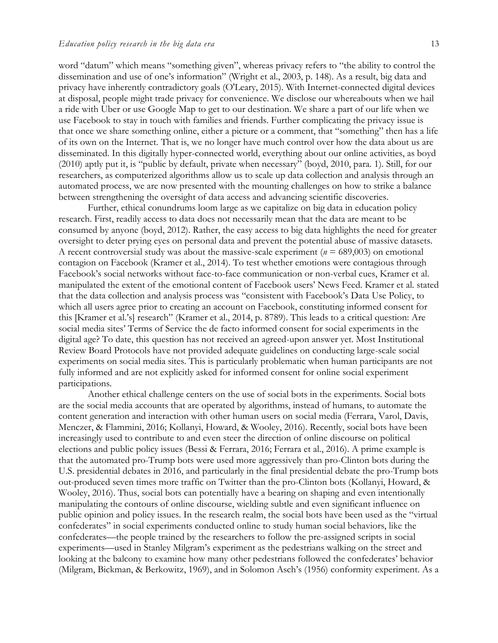word "datum" which means "something given", whereas privacy refers to "the ability to control the dissemination and use of one's information" (Wright et al., 2003, p. 148). As a result, big data and privacy have inherently contradictory goals (O'Leary, 2015). With Internet-connected digital devices at disposal, people might trade privacy for convenience. We disclose our whereabouts when we hail a ride with Uber or use Google Map to get to our destination. We share a part of our life when we use Facebook to stay in touch with families and friends. Further complicating the privacy issue is that once we share something online, either a picture or a comment, that "something" then has a life of its own on the Internet. That is, we no longer have much control over how the data about us are disseminated. In this digitally hyper-connected world, everything about our online activities, as boyd (2010) aptly put it, is "public by default, private when necessary" (boyd, 2010, para. 1). Still, for our researchers, as computerized algorithms allow us to scale up data collection and analysis through an automated process, we are now presented with the mounting challenges on how to strike a balance between strengthening the oversight of data access and advancing scientific discoveries.

Further, ethical conundrums loom large as we capitalize on big data in education policy research. First, readily access to data does not necessarily mean that the data are meant to be consumed by anyone (boyd, 2012). Rather, the easy access to big data highlights the need for greater oversight to deter prying eyes on personal data and prevent the potential abuse of massive datasets. A recent controversial study was about the massive-scale experiment ( $n = 689,003$ ) on emotional contagion on Facebook (Kramer et al., 2014). To test whether emotions were contagious through Facebook's social networks without face-to-face communication or non-verbal cues, Kramer et al. manipulated the extent of the emotional content of Facebook users' News Feed. Kramer et al. stated that the data collection and analysis process was "consistent with Facebook's Data Use Policy, to which all users agree prior to creating an account on Facebook, constituting informed consent for this [Kramer et al.'s] research" (Kramer et al., 2014, p. 8789). This leads to a critical question: Are social media sites' Terms of Service the de facto informed consent for social experiments in the digital age? To date, this question has not received an agreed-upon answer yet. Most Institutional Review Board Protocols have not provided adequate guidelines on conducting large-scale social experiments on social media sites. This is particularly problematic when human participants are not fully informed and are not explicitly asked for informed consent for online social experiment participations.

Another ethical challenge centers on the use of social bots in the experiments. Social bots are the social media accounts that are operated by algorithms, instead of humans, to automate the content generation and interaction with other human users on social media (Ferrara, Varol, Davis, Menczer, & Flammini, 2016; Kollanyi, Howard, & Wooley, 2016). Recently, social bots have been increasingly used to contribute to and even steer the direction of online discourse on political elections and public policy issues (Bessi & Ferrara, 2016; Ferrara et al., 2016). A prime example is that the automated pro-Trump bots were used more aggressively than pro-Clinton bots during the U.S. presidential debates in 2016, and particularly in the final presidential debate the pro-Trump bots out-produced seven times more traffic on Twitter than the pro-Clinton bots (Kollanyi, Howard, & Wooley, 2016). Thus, social bots can potentially have a bearing on shaping and even intentionally manipulating the contours of online discourse, wielding subtle and even significant influence on public opinion and policy issues. In the research realm, the social bots have been used as the "virtual confederates" in social experiments conducted online to study human social behaviors, like the confederates—the people trained by the researchers to follow the pre-assigned scripts in social experiments—used in Stanley Milgram's experiment as the pedestrians walking on the street and looking at the balcony to examine how many other pedestrians followed the confederates' behavior (Milgram, Bickman, & Berkowitz, 1969), and in Solomon Asch's (1956) conformity experiment. As a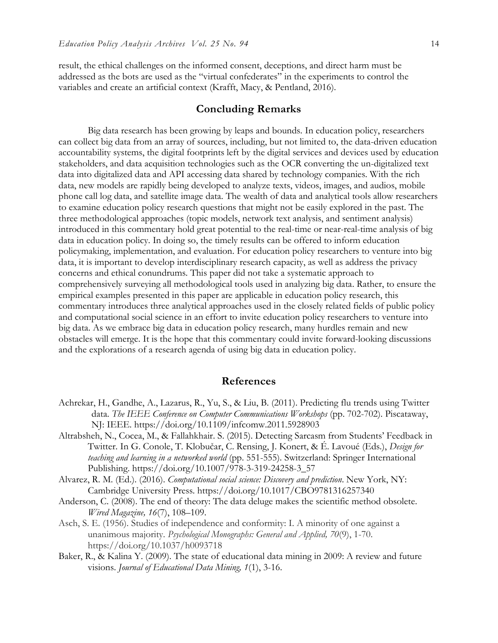result, the ethical challenges on the informed consent, deceptions, and direct harm must be addressed as the bots are used as the "virtual confederates" in the experiments to control the variables and create an artificial context (Krafft, Macy, & Pentland, 2016).

#### **Concluding Remarks**

Big data research has been growing by leaps and bounds. In education policy, researchers can collect big data from an array of sources, including, but not limited to, the data-driven education accountability systems, the digital footprints left by the digital services and devices used by education stakeholders, and data acquisition technologies such as the OCR converting the un-digitalized text data into digitalized data and API accessing data shared by technology companies. With the rich data, new models are rapidly being developed to analyze texts, videos, images, and audios, mobile phone call log data, and satellite image data. The wealth of data and analytical tools allow researchers to examine education policy research questions that might not be easily explored in the past. The three methodological approaches (topic models, network text analysis, and sentiment analysis) introduced in this commentary hold great potential to the real-time or near-real-time analysis of big data in education policy. In doing so, the timely results can be offered to inform education policymaking, implementation, and evaluation. For education policy researchers to venture into big data, it is important to develop interdisciplinary research capacity, as well as address the privacy concerns and ethical conundrums. This paper did not take a systematic approach to comprehensively surveying all methodological tools used in analyzing big data. Rather, to ensure the empirical examples presented in this paper are applicable in education policy research, this commentary introduces three analytical approaches used in the closely related fields of public policy and computational social science in an effort to invite education policy researchers to venture into big data. As we embrace big data in education policy research, many hurdles remain and new obstacles will emerge. It is the hope that this commentary could invite forward-looking discussions and the explorations of a research agenda of using big data in education policy.

#### **References**

- Achrekar, H., Gandhe, A., Lazarus, R., Yu, S., & Liu, B. (2011). Predicting flu trends using Twitter data. *The IEEE Conference on Computer Communications Workshops* (pp. 702-702). Piscataway, NJ: IEEE. https://doi.org/10.1109/infcomw.2011.5928903
- Altrabsheh, N., Cocea, M., & Fallahkhair. S. (2015). Detecting Sarcasm from Students' Feedback in Twitter. In G. [Conole,](http://link.springer.com/search?facet-creator=%22Gr%C3%A1inne+Conole%22) T. [Klobučar](http://link.springer.com/search?facet-creator=%22Toma%C5%BE+Klobu%C4%8Dar%22), [C. Rensing,](http://link.springer.com/search?facet-creator=%22Christoph+Rensing%22) [J. Konert,](http://link.springer.com/search?facet-creator=%22Johannes+Konert%22) & [É. Lavoué](http://link.springer.com/search?facet-creator=%22%C3%89lise+Lavou%C3%A9%22) (Eds.), *Design for teaching and learning in a networked world* (pp. 551-555). Switzerland: Springer International Publishing. https://doi.org/10.1007/978-3-319-24258-3\_57
- Alvarez, R. M. (Ed.). (2016). *Computational social science: Discovery and prediction*. New York, NY: Cambridge University Press. https://doi.org/10.1017/CBO9781316257340
- Anderson, C. (2008). The end of theory: The data deluge makes the scientific method obsolete. *Wired Magazine, 16*(7), 108–109.
- Asch, S. E. (1956). Studies of independence and conformity: I. A minority of one against a unanimous majority. *Psychological Monographs: General and Applied, 70*(9), 1-70. https://doi.org/10.1037/h0093718
- Baker, R., & Kalina Y. (2009). The state of educational data mining in 2009: A review and future visions. *Journal of Educational Data Mining, 1*(1), 3-16.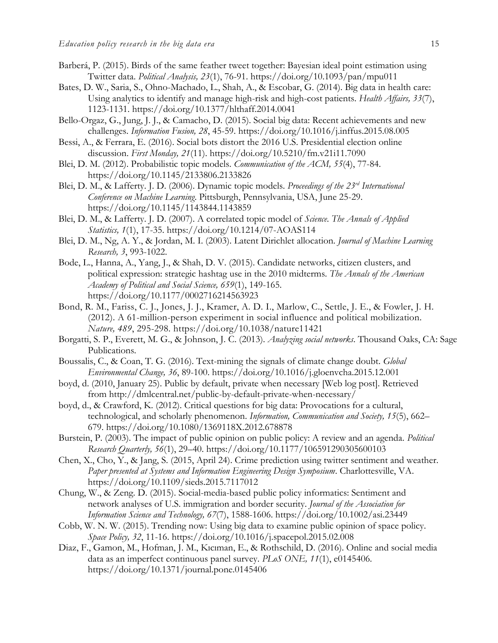- Barberá, P. (2015). Birds of the same feather tweet together: Bayesian ideal point estimation using Twitter data. *Political Analysis, 23*(1), 76-91. https://doi.org/10.1093/pan/mpu011
- Bates, D. W., Saria, S., Ohno-Machado, L., Shah, A., & Escobar, G. (2014). Big data in health care: Using analytics to identify and manage high-risk and high-cost patients. *Health Affairs, 33*(7), 1123-1131. https://doi.org/10.1377/hlthaff.2014.0041
- Bello-Orgaz, G., Jung, J. J., & Camacho, D. (2015). Social big data: Recent achievements and new challenges. *Information Fusion, 28*, 45-59. https://doi.org/10.1016/j.inffus.2015.08.005
- Bessi, A., & Ferrara, E. (2016). Social bots distort the 2016 U.S. Presidential election online discussion. *First Monday, 21*(11). https://doi.org/10.5210/fm.v21i11.7090
- Blei, D. M. (2012). Probabilistic topic models. *Communication of the ACM, 55*(4), 77-84. https://doi.org/10.1145/2133806.2133826
- Blei, D. M., & Lafferty. J. D. (2006). Dynamic topic models. *Proceedings of the 23rd International Conference on Machine Learning*. Pittsburgh, Pennsylvania, USA, June 25-29. https://doi.org/10.1145/1143844.1143859
- Blei, D. M., & Lafferty. J. D. (2007). A correlated topic model of *Science*. *The Annals of Applied Statistics, 1*(1), 17-35. https://doi.org/10.1214/07-AOAS114
- Blei, D. M., Ng, A. Y., & Jordan, M. I. (2003). Latent Dirichlet allocation. *Journal of Machine Learning Research, 3*, 993-1022.
- Bode, L., Hanna, A., Yang, J., & Shah, D. V. (2015). Candidate networks, citizen clusters, and political expression: strategic hashtag use in the 2010 midterms. *The Annals of the American Academy of Political and Social Science, 659*(1), 149-165. https://doi.org/10.1177/0002716214563923
- Bond, R. M., Fariss, C. J., Jones, J. J., Kramer, A. D. I., Marlow, C., Settle, J. E., & Fowler, J. H. (2012). A 61-million-person experiment in social influence and political mobilization. *Nature, 489*, 295-298. https://doi.org/10.1038/nature11421
- Borgatti, S. P., Everett, M. G., & Johnson, J. C. (2013). *Analyzing social networks*. Thousand Oaks, CA: Sage Publications.
- Boussalis, C., & Coan, T. G. (2016). Text-mining the signals of climate change doubt. *Global Environmental Change, 36*, 89-100. https://doi.org/10.1016/j.gloenvcha.2015.12.001
- boyd, d. (2010, January 25). Public by default, private when necessary [Web log post]. Retrieved from http://dmlcentral.net/public-by-default-private-when-necessary/
- boyd, d., & Crawford, K. (2012). Critical questions for big data: Provocations for a cultural, technological, and scholarly phenomenon. *Information, Communication and Society, 15*(5), 662– 679. https://doi.org/10.1080/1369118X.2012.678878
- Burstein, P. (2003). The impact of public opinion on public policy: A review and an agenda. *Political Research Quarterly, 56*(1), 29–40. https://doi.org/10.1177/106591290305600103
- Chen, X., Cho, Y., & Jang, S. (2015, April 24). Crime prediction using twitter sentiment and weather. *Paper presented at Systems and Information Engineering Design Symposium*. Charlottesville, VA. https://doi.org/10.1109/sieds.2015.7117012
- Chung, W., & Zeng. D. (2015). Social-media-based public policy informatics: Sentiment and network analyses of U.S. immigration and border security. *Journal of the Association for Information Science and Technology, 67*(7), 1588-1606. https://doi.org/10.1002/asi.23449
- Cobb, W. N. W. (2015). Trending now: Using big data to examine public opinion of space policy. *Space Policy, 32*, 11-16. https://doi.org/10.1016/j.spacepol.2015.02.008
- Diaz, F., Gamon, M., Hofman, J. M., Kıcıman, E., & Rothschild, D. (2016). Online and social media data as an imperfect continuous panel survey. *PLoS ONE, 11*(1), e0145406. https://doi.org/10.1371/journal.pone.0145406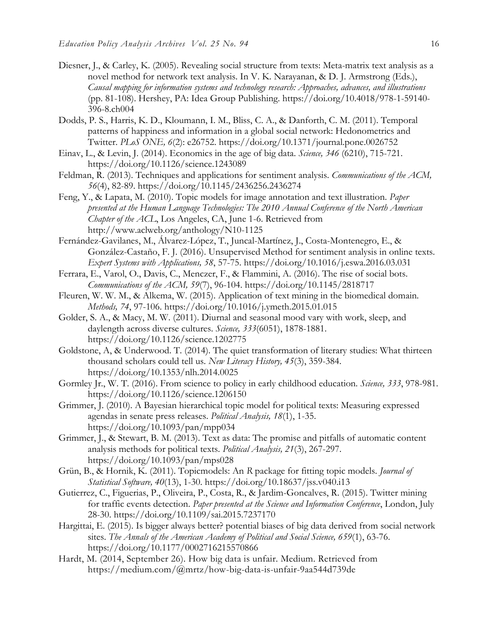- Diesner, J., & Carley, K. (2005). Revealing social structure from texts: Meta-matrix text analysis as a novel method for network text analysis. In V. K. Narayanan, & D. J. Armstrong (Eds.), *Causal mapping for information systems and technology research: Approaches, advances, and illustrations* (pp. 81-108). Hershey, PA: Idea Group Publishing. https://doi.org/10.4018/978-1-59140- 396-8.ch004
- Dodds, P. S., Harris, K. D., Kloumann, I. M., Bliss, C. A., & Danforth, C. M. (2011). Temporal patterns of happiness and information in a global social network: Hedonometrics and Twitter. *PLoS ONE, 6*(2): e26752. https://doi.org/10.1371/journal.pone.0026752
- Einav, L., & Levin, J. (2014). Economics in the age of big data. *Science, 346* (6210), 715-721. https://doi.org/10.1126/science.1243089
- Feldman, R. (2013). Techniques and applications for sentiment analysis. *Communications of the ACM, 56*(4), 82-89. https://doi.org/10.1145/2436256.2436274
- Feng, Y., & Lapata, M. (2010). Topic models for image annotation and text illustration. *Paper presented at the Human Language Technologies: The 2010 Annual Conference of the North American Chapter of the ACL*, Los Angeles, CA, June 1-6. Retrieved from http://www.aclweb.org/anthology/N10-1125
- Fernández-Gavilanes, M., Álvarez-López, T., Juncal-Martínez, J., Costa-Montenegro, E., & González-Castaño, F. J. (2016). Unsupervised Method for sentiment analysis in online texts. *Expert Systems with Applications, 58*, 57-75. https://doi.org/10.1016/j.eswa.2016.03.031
- Ferrara, E., Varol, O., Davis, C., Menczer, F., & Flammini, A. (2016). The rise of social bots. *Communications of the ACM, 59*(7), 96-104. https://doi.org/10.1145/2818717
- Fleuren, W. W. M., & Alkema, W. (2015). Application of text mining in the biomedical domain. *Methods, 74*, 97-106. https://doi.org/10.1016/j.ymeth.2015.01.015
- Golder, S. A., & Macy, M. W. (2011). Diurnal and seasonal mood vary with work, sleep, and daylength across diverse cultures. *Science, 333*(6051), 1878-1881. https://doi.org/10.1126/science.1202775
- Goldstone, A, & Underwood. T. (2014). The quiet transformation of literary studies: What thirteen thousand scholars could tell us. *New Literacy History, 45*(3), 359-384. https://doi.org/10.1353/nlh.2014.0025
- Gormley Jr., W. T. (2016). From science to policy in early childhood education. *Science, 333*, 978-981. https://doi.org/10.1126/science.1206150
- Grimmer, J. (2010). A Bayesian hierarchical topic model for political texts: Measuring expressed agendas in senate press releases. *Political Analysis, 18*(1), 1-35. https://doi.org/10.1093/pan/mpp034
- Grimmer, J., & Stewart, B. M. (2013). Text as data: The promise and pitfalls of automatic content analysis methods for political texts. *Political Analysis, 21*(3), 267-297. https://doi.org/10.1093/pan/mps028
- Grün, B., & Hornik, K. (2011). Topicmodels: An *R* package for fitting topic models. *Journal of Statistical Software, 40*(13), 1-30. https://doi.org/10.18637/jss.v040.i13
- Gutierrez, C., Figuerias, P., Oliveira, P., Costa, R., & Jardim-Goncalves, R. (2015). Twitter mining for traffic events detection. *Paper presented at the Science and Information Conference*, London, July 28-30. https://doi.org/10.1109/sai.2015.7237170
- Hargittai, E. (2015). Is bigger always better? potential biases of big data derived from social network sites. *The Annals of the American Academy of Political and Social Science, 659*(1), 63-76. https://doi.org/10.1177/0002716215570866
- Hardt, M. (2014, September 26). How big data is unfair. Medium. Retrieved from https://medium.com/@mrtz/how-big-data-is-unfair-9aa544d739de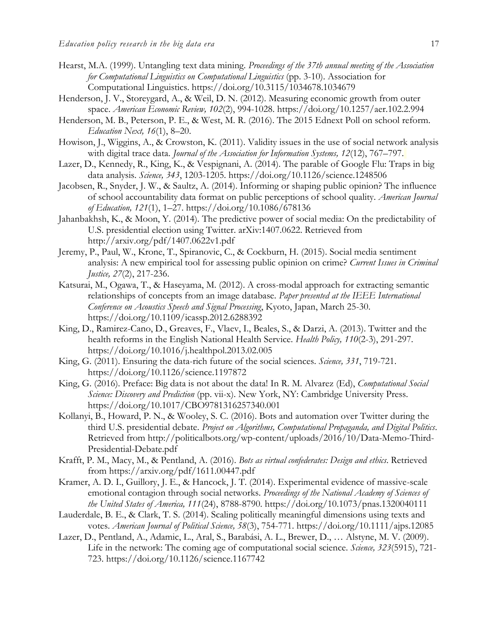- Hearst, M.A. (1999). Untangling text data mining. *Proceedings of the 37th annual meeting of the Association for Computational Linguistics on Computational Linguistics* (pp. 3-10). Association for Computational Linguistics. https://doi.org/10.3115/1034678.1034679
- Henderson, J. V., Storeygard, A., & Weil, D. N. (2012). Measuring economic growth from outer space. *American Economic Review, 102*(2), 994-1028. https://doi.org/10.1257/aer.102.2.994
- Henderson, M. B., Peterson, P. E., & West, M. R. (2016). The 2015 Ednext Poll on school reform. *Education Next, 16*(1), 8–20.
- Howison, J., Wiggins, A., & Crowston, K. (2011). Validity issues in the use of social network analysis with digital trace data. *Journal of the Association for Information Systems, 12*(12), 767–797.
- Lazer, D., Kennedy, R., King, K., & Vespignani, A. (2014). The parable of Google Flu: Traps in big data analysis. *Science, 343*, 1203-1205. https://doi.org/10.1126/science.1248506
- Jacobsen, R., Snyder, J. W., & Saultz, A. (2014). Informing or shaping public opinion? The influence of school accountability data format on public perceptions of school quality. *American Journal of Education, 121*(1), 1–27. https://doi.org/10.1086/678136
- Jahanbakhsh, K., & Moon, Y. (2014). The predictive power of social media: On the predictability of U.S. presidential election using Twitter. arXiv:1407.0622. Retrieved from http://arxiv.org/pdf/1407.0622v1.pdf
- Jeremy, P., Paul, W., Krone, T., Spiranovic, C., & Cockburn, H. (2015). Social media sentiment analysis: A new empirical tool for assessing public opinion on crime? *Current Issues in Criminal Justice, 27*(2), 217-236.
- Katsurai, M., Ogawa, T., & Haseyama, M. (2012). A cross-modal approach for extracting semantic relationships of concepts from an image database. *Paper presented at the IEEE International Conference on Acoustics Speech and Signal Processing*, Kyoto, Japan, March 25-30. https://doi.org/10.1109/icassp.2012.6288392
- King, D., Ramirez-Cano, D., Greaves, F., Vlaev, I., Beales, S., & Darzi, A. (2013). Twitter and the health reforms in the English National Health Service. *Health Policy, 110*(2-3), 291-297. https://doi.org/10.1016/j.healthpol.2013.02.005
- King, G. (2011). Ensuring the data-rich future of the social sciences. *Science, 331*, 719-721. https://doi.org/10.1126/science.1197872
- King, G. (2016). Preface: Big data is not about the data! In R. M. Alvarez (Ed), *Computational Social Science: Discovery and Prediction* (pp. vii-x). New York, NY: Cambridge University Press. https://doi.org/10.1017/CBO9781316257340.001
- Kollanyi, B., Howard, P. N., & Wooley, S. C. (2016). Bots and automation over Twitter during the third U.S. presidential debate. *Project on Algorithms, Computational Propaganda, and Digital Politics*. Retrieved from http://politicalbots.org/wp-content/uploads/2016/10/Data-Memo-Third-Presidential-Debate.pdf
- Krafft, P. M., Macy, M., & Pentland, A. (2016). *Bots as virtual confederates: Design and ethics*. Retrieved from https://arxiv.org/pdf/1611.00447.pdf
- Kramer, A. D. I., Guillory, J. E., & Hancock, J. T. (2014). Experimental evidence of massive-scale emotional contagion through social networks. *Proceedings of the National Academy of Sciences of the United States of America, 111*(24), 8788-8790. https://doi.org/10.1073/pnas.1320040111
- Lauderdale, B. E., & Clark, T. S. (2014). Scaling politically meaningful dimensions using texts and votes. *American Journal of Political Science, 58*(3), 754-771. https://doi.org/10.1111/ajps.12085
- Lazer, D., Pentland, A., Adamic, L., Aral, S., Barabási, A. L., Brewer, D., … Alstyne, M. V. (2009). Life in the network: The coming age of computational social science. *Science, 323*(5915), 721- 723. https://doi.org/10.1126/science.1167742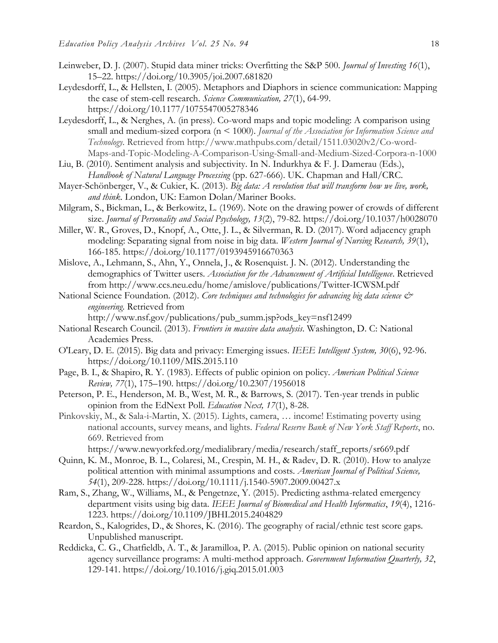- Leinweber, D. J. (2007). Stupid data miner tricks: Overfitting the S&P 500. *Journal of Investing 16*(1), 15–22. https://doi.org/10.3905/joi.2007.681820
- Leydesdorff, L., & Hellsten, I. (2005). Metaphors and Diaphors in science communication: Mapping the case of stem-cell research. *Science Communication, 27*(1), 64-99. https://doi.org/10.1177/1075547005278346
- Leydesdorff, L., & Nerghes, A. (in press). Co-word maps and topic modeling: A comparison using small and medium-sized corpora (n < 1000). *Journal of the Association for Information Science and Technology*. Retrieved from http://www.mathpubs.com/detail/1511.03020v2/Co-word-Maps-and-Topic-Modeling-A-Comparison-Using-Small-and-Medium-Sized-Corpora-n-1000
- Liu, B. (2010). Sentiment analysis and subjectivity. In N. Indurkhya & F. J. Damerau (Eds.), *Handbook of Natural Language Processing* (pp. 627-666). UK. Chapman and Hall/CRC.
- Mayer-Schönberger, V., & Cukier, K. (2013). *Big data: A revolution that will transform how we live, work, and think*. London, UK: Eamon Dolan/Mariner Books.
- Milgram, S., Bickman, L., & Berkowitz, L. (1969). Note on the drawing power of crowds of different size. *Journal of Personality and Social Psychology, 13(2)*, 79-82. https://doi.org/10.1037/h0028070
- Miller, W. R., Groves, D., Knopf, A., Otte, J. L., & Silverman, R. D. (2017). Word adjacency graph modeling: Separating signal from noise in big data. *Western Journal of Nursing Research, 39*(1), 166-185. https://doi.org/10.1177/0193945916670363
- Mislove, A., Lehmann, S., Ahn, Y., Onnela, J., & Rosenquist. J. N. (2012). Understanding the demographics of Twitter users. *Association for the Advancement of Artificial Intelligence*. Retrieved from http://www.ccs.neu.edu/home/amislove/publications/Twitter-ICWSM.pdf
- National Science Foundation. (2012). *Core techniques and technologies for advancing big data science & engineering*. Retrieved from

http://www.nsf.gov/publications/pub\_summ.jsp?ods\_key=nsf12499

- National Research Council. (2013). *Frontiers in massive data analysis*. Washington, D. C: National Academies Press.
- O'Leary, D. E. (2015). Big data and privacy: Emerging issues. *IEEE Intelligent System, 30*(6), 92-96. https://doi.org/10.1109/MIS.2015.110
- Page, B. I., & Shapiro, R. Y. (1983). Effects of public opinion on policy. *American Political Science Review, 77*(1), 175–190. https://doi.org/10.2307/1956018
- Peterson, P. E., Henderson, M. B., West, M. R., & Barrows, S. (2017). Ten-year trends in public opinion from the EdNext Poll. *Education Next, 17*(1), 8-28.
- Pinkovskiy, M., & Sala-i-Martin, X. (2015). Lights, camera, … income! Estimating poverty using national accounts, survey means, and lights. *Federal Reserve Bank of New York Staff Reports*, no. 669. Retrieved from

https://www.newyorkfed.org/medialibrary/media/research/staff\_reports/sr669.pdf

- Quinn, K. M., Monroe, B. L., Colaresi, M., Crespin, M. H., & Radev, D. R. (2010). How to analyze political attention with minimal assumptions and costs. *American Journal of Political Science, 54*(1), 209-228. https://doi.org/10.1111/j.1540-5907.2009.00427.x
- Ram, S., Zhang, W., Williams, M., & Pengetnze, Y. (2015). Predicting asthma-related emergency department visits using big data. *IEEE Journal of Biomedical and Health Informatics*, *19*(4), 1216- 1223. https://doi.org/10.1109/JBHI.2015.2404829
- Reardon, S., Kalogrides, D., & Shores, K. (2016). The geography of racial/ethnic test score gaps. Unpublished manuscript.
- Reddicka, C. G., Chatfieldb, A. T., & Jaramilloa, P. A. (2015). Public opinion on national security agency surveillance programs: A multi-method approach. *Government Information Quarterly, 32*, 129-141. https://doi.org/10.1016/j.giq.2015.01.003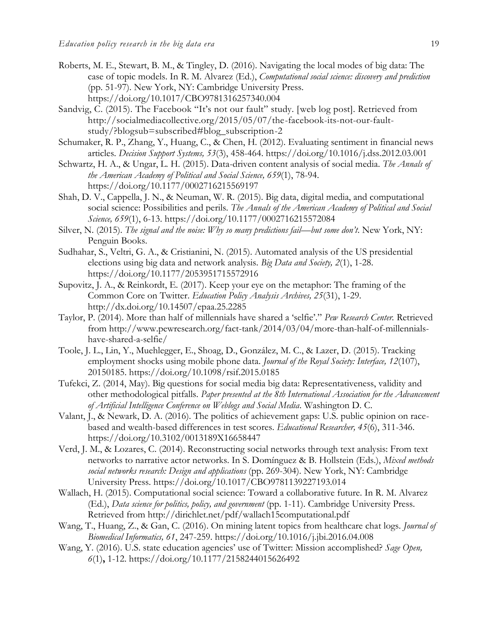- Roberts, M. E., Stewart, B. M., & Tingley, D. (2016). Navigating the local modes of big data: The case of topic models. In R. M. Alvarez (Ed.), *Computational social science: discovery and prediction* (pp. 51-97). New York, NY: Cambridge University Press. https://doi.org/10.1017/CBO9781316257340.004
- Sandvig, C. (2015). The Facebook "It's not our fault" study. [web log post]. Retrieved from http://socialmediacollective.org/2015/05/07/the-facebook-its-not-our-faultstudy/?blogsub=subscribed#blog\_subscription-2
- Schumaker, R. P., Zhang, Y., Huang, C., & Chen, H. (2012). Evaluating sentiment in financial news articles. *Decision Support Systems, 53*(3), 458-464. https://doi.org/10.1016/j.dss.2012.03.001
- Schwartz, H. A., & Ungar, L. H. (2015). Data-driven content analysis of social media. *The Annals of the American Academy of Political and Social Science, 659*(1), 78-94. https://doi.org/10.1177/0002716215569197
- Shah, D. V., Cappella, J. N., & Neuman, W. R. (2015). Big data, digital media, and computational social science: Possibilities and perils. *The Annals of the American Academy of Political and Social Science, 659*(1), 6-13. https://doi.org/10.1177/0002716215572084
- Silver, N. (2015). *The signal and the noise: Why so many predictions fail—but some don't*. New York, NY: Penguin Books.
- Sudhahar, S., Veltri, G. A., & Cristianini, N. (2015). Automated analysis of the US presidential elections using big data and network analysis. *Big Data and Society, 2*(1), 1-28. https://doi.org/10.1177/2053951715572916
- Supovitz, J. A., & Reinkordt, E. (2017). Keep your eye on the metaphor: The framing of the Common Core on Twitter. *Education Policy Analysis Archives, 25*(31), 1-29. http://dx.doi.org/10.14507/epaa.25.2285
- Taylor, P. (2014). More than half of millennials have shared a 'selfie'." *Pew Research Center.* Retrieved from http://www.pewresearch.org/fact-tank/2014/03/04/more-than-half-of-millennialshave-shared-a-selfie/
- Toole, J. L., Lin, Y., Muehlegger, E., Shoag, D., González, M. C., & Lazer, D. (2015). Tracking employment shocks using mobile phone data. *Journal of the Royal Society: Interface, 12*(107), 20150185. https://doi.org/10.1098/rsif.2015.0185
- Tufekci, Z. (2014, May). Big questions for social media big data: Representativeness, validity and other methodological pitfalls. *Paper presented at the 8th International Association for the Advancement of Artificial Intelligence Conference on Weblogs and Social Media*. Washington D. C.
- Valant, J., & Newark, D. A. (2016). The politics of achievement gaps: U.S. public opinion on racebased and wealth-based differences in test scores. *Educational Researcher, 45*(6), 311-346. https://doi.org/10.3102/0013189X16658447
- Verd, J. M., & Lozares, C. (2014). Reconstructing social networks through text analysis: From text networks to narrative actor networks. In S. Domínguez & B. Hollstein (Eds.), *Mixed methods social networks research: Design and applications* (pp. 269-304). New York, NY: Cambridge University Press. https://doi.org/10.1017/CBO9781139227193.014
- Wallach, H. (2015). Computational social science: Toward a collaborative future. In R. M. Alvarez (Ed.), *Data science for politics, policy, and government* (pp. 1-11). Cambridge University Press. Retrieved from http://dirichlet.net/pdf/wallach15computational.pdf
- Wang, T., Huang, Z., & Gan, C. (2016). On mining latent topics from healthcare chat logs. *Journal of Biomedical Informatics, 61*, 247-259. https://doi.org/10.1016/j.jbi.2016.04.008
- Wang, Y. (2016). U.S. state education agencies' use of Twitter: Mission accomplished? *Sage Open, 6*(1)**,** 1-12. https://doi.org/10.1177/2158244015626492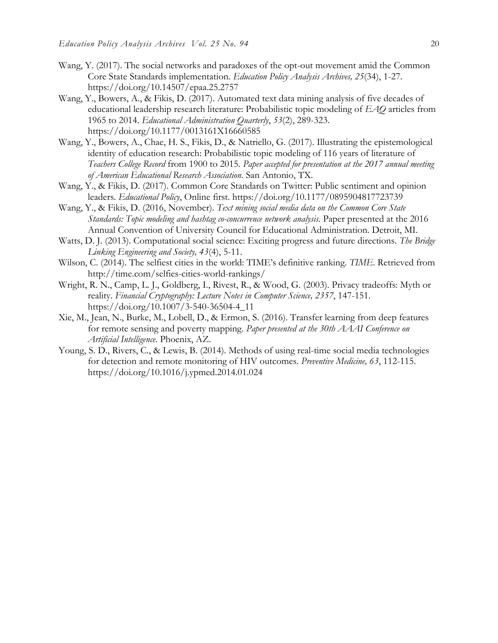- Wang, Y. (2017). The social networks and paradoxes of the opt-out movement amid the Common Core State Standards implementation. *Education Policy Analysis Archives, 25*(34), 1-27. https://doi.org/10.14507/epaa.25.2757
- Wang, Y., Bowers, A., & Fikis, D. (2017). Automated text data mining analysis of five decades of educational leadership research literature: Probabilistic topic modeling of *EAQ* articles from 1965 to 2014. *Educational Administration Quarterly*, *53*(2), 289-323. https://doi.org/10.1177/0013161X16660585
- Wang, Y., Bowers, A., Chae, H. S., Fikis, D., & Natriello, G. (2017). Illustrating the epistemological identity of education research: Probabilistic topic modeling of 116 years of literature of *Teachers College Record* from 1900 to 2015. *Paper accepted for presentation at the 2017 annual meeting of American Educational Research Association*. San Antonio, TX.
- Wang, Y., & Fikis, D. (2017). Common Core Standards on Twitter: Public sentiment and opinion leaders. *Educational Policy*, Online first. https://doi.org/10.1177/0895904817723739
- Wang, Y., & Fikis, D. (2016, November). *Text mining social media data on the Common Core State Standards: Topic modeling and hashtag co-concurrence network analysis.* Paper presented at the 2016 Annual Convention of University Council for Educational Administration. Detroit, MI.
- Watts, D. J. (2013). Computational social science: Exciting progress and future directions. *The Bridge Linking Engineering and Society, 43*(4), 5-11.
- Wilson, C. (2014). The selfiest cities in the world: TIME's definitive ranking. *TIME*. Retrieved from http://time.com/selfies-cities-world-rankings/
- Wright, R. N., Camp, L. J., Goldberg, I., Rivest, R., & Wood, G. (2003). Privacy tradeoffs: Myth or reality. *Financial Cryptography: Lecture Notes in Computer Science, 2357*, 147-151. https://doi.org/10.1007/3-540-36504-4\_11
- Xie, M., Jean, N., Burke, M., Lobell, D., & Ermon, S. (2016). Transfer learning from deep features for remote sensing and poverty mapping. *Paper presented at the 30th AAAI Conference on Artificial Intelligence*. Phoenix, AZ.
- Young, S. D., Rivers, C., & Lewis, B. (2014). Methods of using real-time social media technologies for detection and remote monitoring of HIV outcomes. *Preventive Medicine, 63*, 112-115. https://doi.org/10.1016/j.ypmed.2014.01.024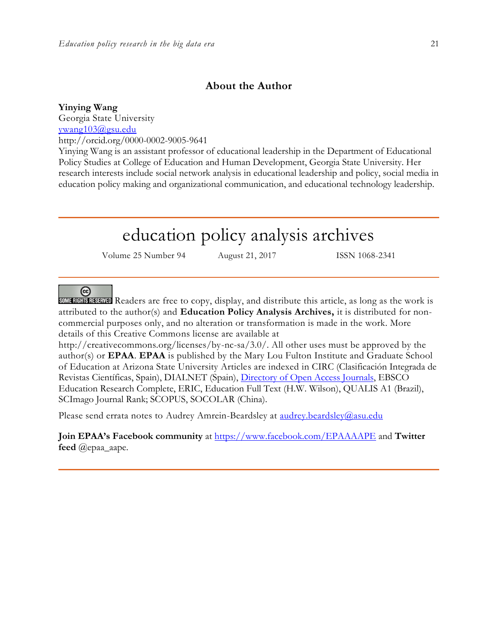### **About the Author**

**Yinying Wang** Georgia State University [ywang103@gsu.edu](mailto:ywang103@gsu.edu) http://orcid.org[/0000-0002-9005-9641](http://orcid.org/0000-0002-9005-9641)

Yinying Wang is an assistant professor of educational leadership in the Department of Educational Policy Studies at College of Education and Human Development, Georgia State University. Her research interests include social network analysis in educational leadership and policy, social media in education policy making and organizational communication, and educational technology leadership.

# education policy analysis archives

Volume 25 Number 94 August 21, 2017 ISSN 1068-2341

 $(c)$ 

SOME RIGHTS RESERVED Readers are free to copy, display, and distribute this article, as long as the work is attributed to the author(s) and **Education Policy Analysis Archives,** it is distributed for noncommercial purposes only, and no alteration or transformation is made in the work. More details of this Creative Commons license are available at

http://creativecommons.org/licenses/by-nc-sa/3.0/. All other uses must be approved by the author(s) or **EPAA**. **EPAA** is published by the Mary Lou Fulton Institute and Graduate School of Education at Arizona State University Articles are indexed in CIRC (Clasificación Integrada de Revistas Científicas, Spain), DIALNET (Spain), [Directory of Open Access Journals,](http://www.doaj.org/) EBSCO Education Research Complete, ERIC, Education Full Text (H.W. Wilson), QUALIS A1 (Brazil), SCImago Journal Rank; SCOPUS, SOCOLAR (China).

Please send errata notes to Audrey Amrein-Beardsley at [audrey.beardsley@asu.edu](mailto:audrey.beardsley@asu.edu)

**Join EPAA's Facebook community** at<https://www.facebook.com/EPAAAAPE> and **Twitter feed** @epaa\_aape.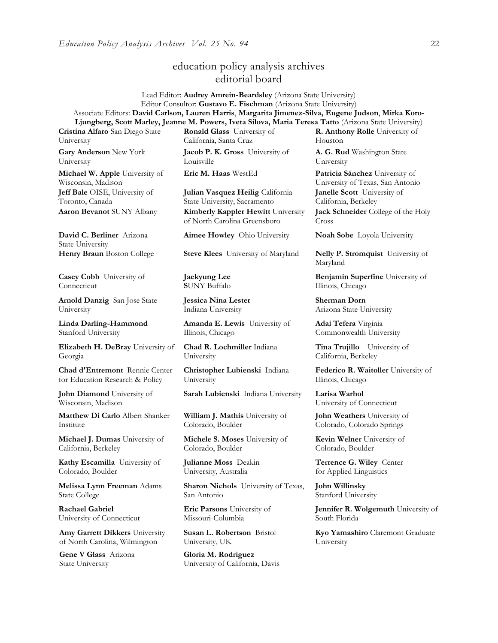### education policy analysis archives editorial board

Lead Editor: **Audrey Amrein-Beardsley** (Arizona State University) Editor Consultor: **Gustavo E. Fischman** (Arizona State University) Associate Editors: **David Carlson, Lauren Harris**, **Margarita Jimenez-Silva, Eugene Judson**, **Mirka Koro-Ljungberg, Scott Marley, Jeanne M. Powers, Iveta Silova, Maria Teresa Tatto** (Arizona State University)

**Cristina Alfaro** San Diego State University

**Gary Anderson** New York University

**Michael W. Apple** University of Wisconsin, Madison **Jeff Bale** OISE, University of Toronto, Canada

**David C. Berliner** Arizona State University

**Casey Cobb** University of **Connecticut** 

**Arnold Danzig** San Jose State University

**Linda Darling-Hammond**  Stanford University

**Elizabeth H. DeBray** University of Georgia

**Chad d'Entremont** Rennie Center for Education Research & Policy

**John Diamond** University of Wisconsin, Madison

**Matthew Di Carlo** Albert Shanker Institute

**Michael J. Dumas** University of California, Berkeley

**Kathy Escamilla** University of Colorado, Boulder

**Melissa Lynn Freeman** Adams State College

**Rachael Gabriel** University of Connecticut

**Amy Garrett Dikkers** University of North Carolina, Wilmington

**Gene V Glass** Arizona State University

**Ronald Glass** University of California, Santa Cruz

**Jacob P. K. Gross** University of Louisville

**Julian Vasquez Heilig** California State University, Sacramento **Aaron Bevanot** SUNY Albany **Kimberly Kappler Hewitt** University of North Carolina Greensboro

**Aimee Howley** Ohio University **Noah Sobe** Loyola University

**Henry Braun** Boston College **Steve Klees** University of Maryland **Nelly P. Stromquist** University of

**Jaekyung Lee S**UNY Buffalo

**Jessica Nina Lester** Indiana University

**Amanda E. Lewis** University of Illinois, Chicago

**Chad R. Lochmiller** Indiana University

**Christopher Lubienski** Indiana University

**Sarah Lubienski** Indiana University **Larisa Warhol**

**William J. Mathis** University of Colorado, Boulder

**Michele S. Moses** University of Colorado, Boulder

**Julianne Moss** Deakin University, Australia

**Sharon Nichols** University of Texas, San Antonio

**Eric Parsons** University of Missouri-Columbia

**Susan L. Robertson** Bristol University, UK

**Gloria M. Rodriguez** University of California, Davis **R. Anthony Rolle** University of Houston

**A. G. Rud** Washington State University

**Eric M. Haas** WestEd **Patricia Sánchez** University of University of Texas, San Antonio **Janelle Scott** University of California, Berkeley

> **Jack Schneider** College of the Holy Cross

Maryland

**Benjamin Superfine** University of Illinois, Chicago

**Sherman Dorn** Arizona State University

**Adai Tefera** Virginia Commonwealth University

**Tina Trujillo** University of California, Berkeley

**Federico R. Waitoller** University of Illinois, Chicago

University of Connecticut

**John Weathers** University of Colorado, Colorado Springs

**Kevin Welner** University of Colorado, Boulder

**Terrence G. Wiley** Center for Applied Linguistics

**John Willinsky**  Stanford University

**Jennifer R. Wolgemuth University of** South Florida

**Kyo Yamashiro** Claremont Graduate University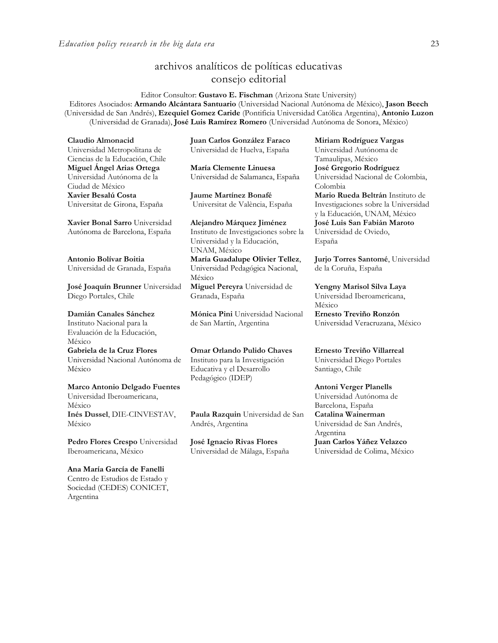# archivos analíticos de políticas educativas consejo editorial

Editor Consultor: **Gustavo E. Fischman** (Arizona State University) Editores Asociados: **Armando Alcántara Santuario** (Universidad Nacional Autónoma de México), **Jason Beech** (Universidad de San Andrés), **Ezequiel Gomez Caride** (Pontificia Universidad Católica Argentina), **Antonio Luzon** (Universidad de Granada), **José Luis Ramírez Romero** (Universidad Autónoma de Sonora, México)

**Claudio Almonacid** Universidad Metropolitana de Ciencias de la Educación, Chile **Miguel Ángel Arias Ortega**  Universidad Autónoma de la Ciudad de México **Xavier Besalú Costa**  Universitat de Girona, España

**[Xavier Bonal](javascript:openRTWindow() Sarro** Universidad Autónoma de Barcelona, España

**[Antonio Bolívar](javascript:openRTWindow() Boitia** Universidad de Granada, España

**[José Joaquín Brunner](javascript:openRTWindow()** Universidad Diego Portales, Chile

**[Damián Canales Sánchez](javascript:openRTWindow()** Instituto Nacional para la Evaluación de la Educación, México **Gabriela de la Cruz Flores** Universidad Nacional Autónoma de México **[Marco Antonio Delgado Fuentes](javascript:openRTWindow()**

Universidad Iberoamericana, México **[Inés Dussel](javascript:openRTWindow()**, DIE-CINVESTAV, México

**[Pedro Flores Crespo](javascript:openRTWindow()** Universidad Iberoamericana, México

**Ana María García de Fanelli**  Centro de Estudios de Estado y Sociedad (CEDES) CONICET, Argentina

**Juan Carlos González Faraco**  Universidad de Huelva, España

**María Clemente Linuesa**  Universidad de Salamanca, España

**Jaume Martínez Bonafé** Universitat de València, España

**Alejandro Márquez Jiménez**  Instituto de Investigaciones sobre la Universidad y la Educación, UNAM, México **María Guadalupe Olivier Tellez**, Universidad Pedagógica Nacional, México **[Miguel Pereyra](javascript:openRTWindow()** Universidad de

Granada, España

**[Mónica Pini](javascript:openRTWindow()** Universidad Nacional de San Martín, Argentina

**Omar Orlando Pulido Chaves** Instituto para la Investigación Educativa y el Desarrollo Pedagógico (IDEP)

**[Paula Razquin](javascript:openRTWindow()** Universidad de San Andrés, Argentina

**José Ignacio Rivas Flores** Universidad de Málaga, España

**[Miriam Rodríguez Vargas](javascript:openRTWindow()** Universidad Autónoma de Tamaulipas, México **José Gregorio Rodríguez**  Universidad Nacional de Colombia, Colombia **[Mario Rueda Beltrán](javascript:openRTWindow()** Instituto de Investigaciones sobre la Universidad y la Educación, UNAM, México **José Luis San Fabián Maroto**  Universidad de Oviedo, España

**[Jurjo Torres Santomé](javascript:openRTWindow()**, Universidad de la Coruña, España

**[Yengny Marisol Silva Laya](javascript:openRTWindow()** Universidad Iberoamericana, México

**Ernesto Treviño Ronzón** Universidad Veracruzana, México

**[Ernesto Treviño](javascript:openRTWindow() Villarreal** Universidad Diego Portales Santiago, Chile

**[Antoni Verger Planells](javascript:openRTWindow()** Universidad Autónoma de Barcelona, España **[Catalina Wainerman](javascript:openRTWindow()** Universidad de San Andrés, Argentina **Juan Carlos Yáñez Velazco** Universidad de Colima, México